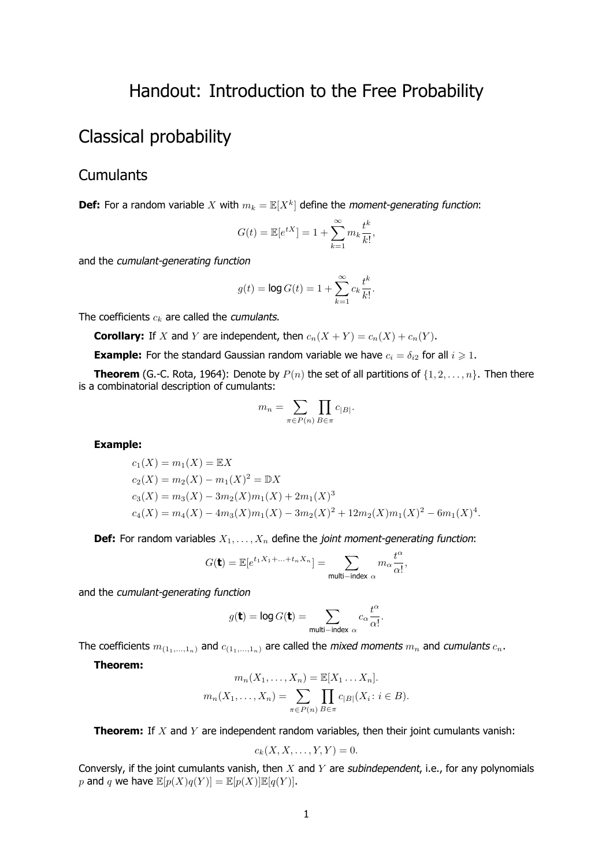## Handout: Introduction to the Free Probability

# Classical probability

### **Cumulants**

**Def:** For a random variable X with  $m_k = \mathbb{E}[X^k]$  define the moment-generating function:

$$
G(t) = \mathbb{E}[e^{tX}] = 1 + \sum_{k=1}^{\infty} m_k \frac{t^k}{k!},
$$

and the cumulant-generating function

$$
g(t) = \log G(t) = 1 + \sum_{k=1}^{\infty} c_k \frac{t^k}{k!}.
$$

The coefficients *c<sup>k</sup>* are called the cumulants.

**Corollary:** If *X* and *Y* are independent, then  $c_n(X + Y) = c_n(X) + c_n(Y)$ .

**Example:** For the standard Gaussian random variable we have  $c_i = \delta_{i2}$  for all  $i \geq 1$ .

**Theorem** (G.-C. Rota, 1964): Denote by  $P(n)$  the set of all partitions of  $\{1, 2, \ldots, n\}$ . Then there is a combinatorial description of cumulants:

$$
m_n = \sum_{\pi \in P(n)} \prod_{B \in \pi} c_{|B|}.
$$

**Example:**

$$
c_1(X) = m_1(X) = \mathbb{E}X
$$
  
\n
$$
c_2(X) = m_2(X) - m_1(X)^2 = \mathbb{D}X
$$
  
\n
$$
c_3(X) = m_3(X) - 3m_2(X)m_1(X) + 2m_1(X)^3
$$
  
\n
$$
c_4(X) = m_4(X) - 4m_3(X)m_1(X) - 3m_2(X)^2 + 12m_2(X)m_1(X)^2 - 6m_1(X)^4.
$$

**Def:** For random variables  $X_1, \ldots, X_n$  define the *joint moment-generating function*:

$$
G(\mathbf{t}) = \mathbb{E}[e^{t_1 X_1 + \ldots + t_n X_n}] = \sum_{\text{multi-index } \alpha} m_{\alpha} \frac{t^{\alpha}}{\alpha!},
$$

and the cumulant-generating function

$$
g(\mathbf{t}) = \log G(\mathbf{t}) = \sum_{\text{multi-index } \alpha} c_{\alpha} \frac{t^{\alpha}}{\alpha!}.
$$

The coefficients  $m_{(1_1,...,1_n)}$  and  $c_{(1_1,...,1_n)}$  are called the *mixed moments*  $m_n$  and *cumulants*  $c_n$ .

**Theorem:**

$$
m_n(X_1, \ldots, X_n) = \mathbb{E}[X_1 \ldots X_n].
$$

$$
m_n(X_1, \ldots, X_n) = \sum_{\pi \in P(n)} \prod_{B \in \pi} c_{|B|}(X_i : i \in B).
$$

**Theorem:** If *X* and *Y* are independent random variables, then their joint cumulants vanish:

$$
c_k(X, X, \ldots, Y, Y) = 0.
$$

Conversly, if the joint cumulants vanish, then *X* and *Y* are subindependent, i.e., for any polynomials *p* and *q* we have  $\mathbb{E}[p(X)q(Y)] = \mathbb{E}[p(X)\mathbb{E}[q(Y)].$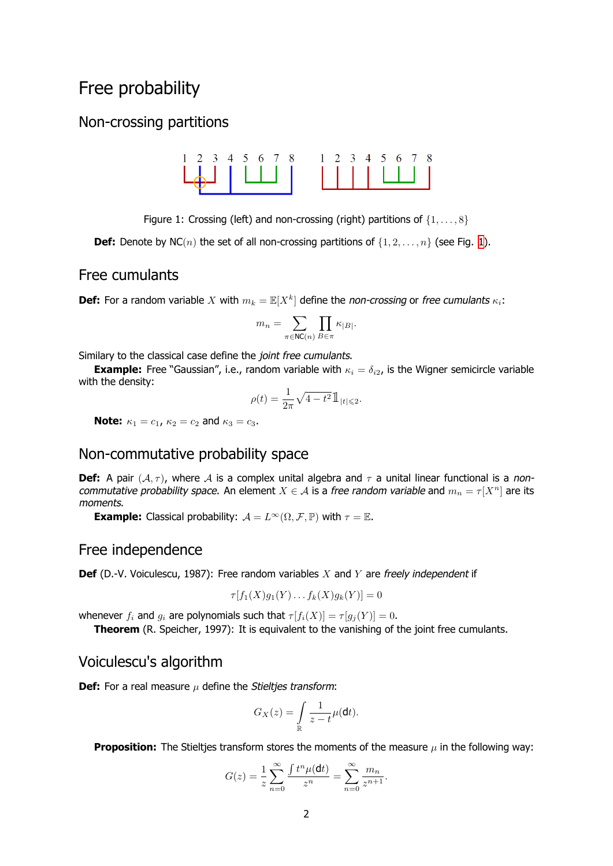## Free probability

### <span id="page-1-0"></span>Non-crossing partitions



Figure 1: Crossing (left) and non-crossing (right) partitions of *{*1*, . . . ,* 8*}*

**Def:** Denote by NC(*n*) the set of all non-crossing partitions of  $\{1, 2, \ldots, n\}$  $\{1, 2, \ldots, n\}$  $\{1, 2, \ldots, n\}$  (see Fig. 1).

#### Free cumulants

**Def:** For a random variable *X* with  $m_k = \mathbb{E}[X^k]$  define the non-crossing or free cumulants  $\kappa_i$ :

$$
m_n=\sum_{\pi\in \mathsf{NC}(n)}\prod_{B\in\pi}\kappa_{|B|}.
$$

Similary to the classical case define the joint free cumulants.

**Example:** Free "Gaussian", i.e., random variable with  $\kappa_i = \delta_{i2}$ , is the Wigner semicircle variable with the density:

$$
\rho(t)=\frac{1}{2\pi}\sqrt{4-t^2}\, \mathbb{1}_{|t|\leqslant 2}.
$$

**Note:**  $\kappa_1 = c_1$ ,  $\kappa_2 = c_2$  and  $\kappa_3 = c_3$ .

#### Non-commutative probability space

**Def:** A pair  $(A, \tau)$ , where A is a complex unital algebra and  $\tau$  a unital linear functional is a noncommutative probability space. An element  $X \in \mathcal{A}$  is a free random variable and  $m_n = \tau[X^n]$  are its moments.

**Example:** Classical probability:  $A = L^{\infty}(\Omega, \mathcal{F}, \mathbb{P})$  with  $\tau = \mathbb{E}$ .

#### Free independence

**Def** (D.-V. Voiculescu, 1987): Free random variables *X* and *Y* are freely independent if

$$
\tau[f_1(X)g_1(Y)\dots f_k(X)g_k(Y)]=0
$$

whenever  $f_i$  and  $g_i$  are polynomials such that  $\tau[f_i(X)] = \tau[g_i(Y)] = 0$ .

**Theorem** (R. Speicher, 1997): It is equivalent to the vanishing of the joint free cumulants.

#### Voiculescu's algorithm

**Def:** For a real measure  $\mu$  define the Stielties transform:

$$
G_X(z) = \int\limits_{\mathbb R} \frac{1}{z-t} \mu(\mathsf{d} t).
$$

**Proposition:** The Stieltjes transform stores the moments of the measure  $\mu$  in the following way:

$$
G(z) = \frac{1}{z} \sum_{n=0}^{\infty} \frac{\int t^n \mu(\mathsf{d}t)}{z^n} = \sum_{n=0}^{\infty} \frac{m_n}{z^{n+1}}.
$$